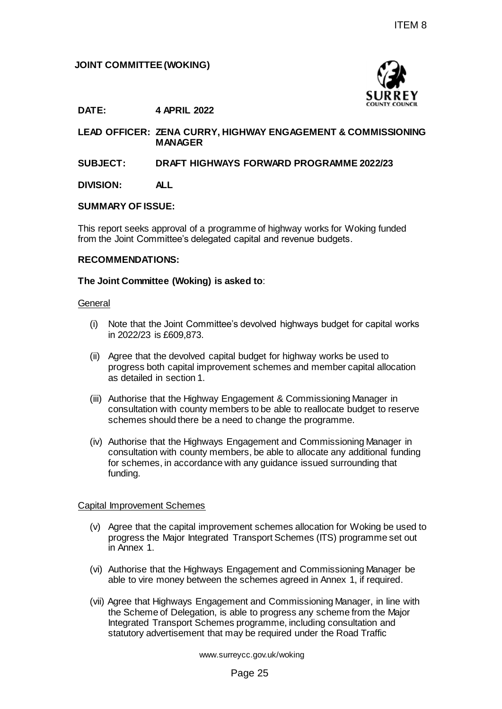## **JOINT COMMITTEE (WOKING)**



**DATE: 4 APRIL 2022**

**LEAD OFFICER: ZENA CURRY, HIGHWAY ENGAGEMENT & COMMISSIONING MANAGER**

### **SUBJECT: DRAFT HIGHWAYS FORWARD PROGRAMME 2022/23**

**DIVISION: ALL**

#### **SUMMARY OF ISSUE:**

This report seeks approval of a programme of highway works for Woking funded from the Joint Committee's delegated capital and revenue budgets.

### **RECOMMENDATIONS:**

### **The Joint Committee (Woking) is asked to**:

#### **General**

- (i) Note that the Joint Committee's devolved highways budget for capital works in 2022/23 is £609,873.
- (ii) Agree that the devolved capital budget for highway works be used to progress both capital improvement schemes and member capital allocation as detailed in section 1.
- (iii) Authorise that the Highway Engagement & Commissioning Manager in consultation with county members to be able to reallocate budget to reserve schemes should there be a need to change the programme.
- (iv) Authorise that the Highways Engagement and Commissioning Manager in consultation with county members, be able to allocate any additional funding for schemes, in accordance with any guidance issued surrounding that funding. ITEM 8<br>
SURREY<br>
SURREY<br>
SURREY<br>
GOWNT ENGAGEMENT & COMMISSIONING<br>
SURREY<br>
SURREY<br>
SURREY<br>
SURREY<br>
SURREY<br>
SURREY<br>
SURREY<br>
SURREY<br>
SURREY<br>
SURREY<br>
SURREY<br>
SURREY<br>
SURREY<br>
SURREY<br>
SURREY<br>
SURREY<br>
SURREY<br>
SURREY<br>
SURREY<br>
SURR

#### Capital Improvement Schemes

- (v) Agree that the capital improvement schemes allocation for Woking be used to progress the Major Integrated Transport Schemes (ITS) programme set out in Annex 1.
- (vi) Authorise that the Highways Engagement and Commissioning Manager be able to vire money between the schemes agreed in Annex 1, if required.
- (vii) Agree that Highways Engagement and Commissioning Manager, in line with the Scheme of Delegation, is able to progress any scheme from the Major Integrated Transport Schemes programme, including consultation and statutory advertisement that may be required under the Road Traffic

www.surreycc.gov.uk/woking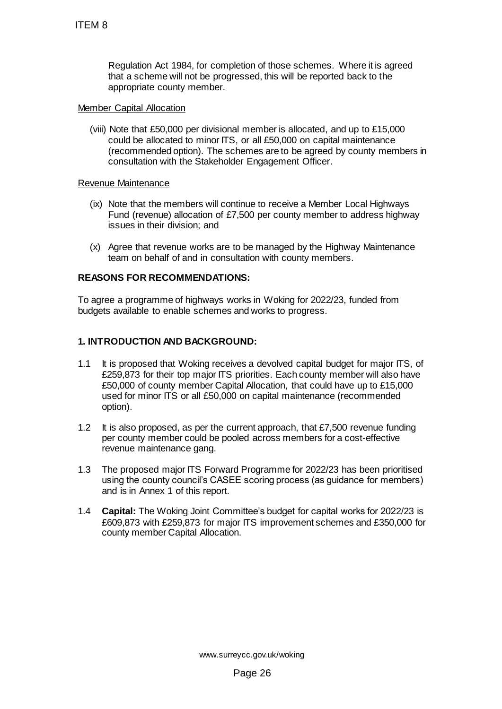Regulation Act 1984, for completion of those schemes. Where it is agreed that a scheme will not be progressed, this will be reported back to the appropriate county member.

### Member Capital Allocation

(viii) Note that £50,000 per divisional member is allocated, and up to £15,000 could be allocated to minor ITS, or all £50,000 on capital maintenance (recommended option). The schemes are to be agreed by county members in consultation with the Stakeholder Engagement Officer.

### Revenue Maintenance

- (ix) Note that the members will continue to receive a Member Local Highways Fund (revenue) allocation of £7,500 per county member to address highway issues in their division; and
- (x) Agree that revenue works are to be managed by the Highway Maintenance team on behalf of and in consultation with county members.

## **REASONS FOR RECOMMENDATIONS:**

To agree a programme of highways works in Woking for 2022/23, funded from budgets available to enable schemes and works to progress.

## **1. INTRODUCTION AND BACKGROUND:**

- 1.1 It is proposed that Woking receives a devolved capital budget for major ITS, of £259,873 for their top major ITS priorities. Each county member will also have £50,000 of county member Capital Allocation, that could have up to £15,000 used for minor ITS or all £50,000 on capital maintenance (recommended option). ITEM 8<br>
Regulation Act 1984, for completion of that a scheme will not be progressed, the appropriate county member.<br>
<u>Member Capital Allocation</u><br>
(viii) Note that £50,000 per divisional membt<br>
could be allocated to minor
- 1.2 It is also proposed, as per the current approach, that £7,500 revenue funding per county member could be pooled across members for a cost-effective revenue maintenance gang.
- 1.3 The proposed major ITS Forward Programme for 2022/23 has been prioritised using the county council's CASEE scoring process (as guidance for members) and is in Annex 1 of this report.
- 1.4 **Capital:** The Woking Joint Committee's budget for capital works for 2022/23 is £609,873 with £259,873 for major ITS improvement schemes and £350,000 for county member Capital Allocation.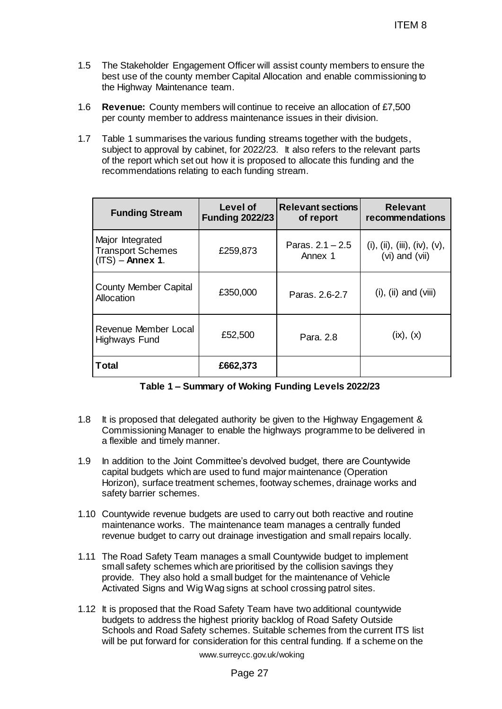- 1.5 The Stakeholder Engagement Officer will assist county members to ensure the best use of the county member Capital Allocation and enable commissioning to the Highway Maintenance team.
- 1.6 **Revenue:** County members will continue to receive an allocation of £7,500 per county member to address maintenance issues in their division.
- 1.7 Table 1 summarises the various funding streams together with the budgets, subject to approval by cabinet, for 2022/23. It also refers to the relevant parts of the report which set out how it is proposed to allocate this funding and the recommendations relating to each funding stream.

|                                                                                                                                                                                                                                                                                                                                                            |                                    |                                       | <b>ITEM 8</b>                                     |  |  |
|------------------------------------------------------------------------------------------------------------------------------------------------------------------------------------------------------------------------------------------------------------------------------------------------------------------------------------------------------------|------------------------------------|---------------------------------------|---------------------------------------------------|--|--|
| The Stakeholder Engagement Officer will assist county members to ensure the<br>best use of the county member Capital Allocation and enable commissioning to<br>the Highway Maintenance team.                                                                                                                                                               |                                    |                                       |                                                   |  |  |
| <b>Revenue:</b> County members will continue to receive an allocation of £7,500<br>per county member to address maintenance issues in their division.                                                                                                                                                                                                      |                                    |                                       |                                                   |  |  |
| Table 1 summarises the various funding streams together with the budgets,<br>subject to approval by cabinet, for 2022/23. It also refers to the relevant parts<br>of the report which set out how it is proposed to allocate this funding and the<br>recommendations relating to each funding stream.                                                      |                                    |                                       |                                                   |  |  |
| <b>Funding Stream</b>                                                                                                                                                                                                                                                                                                                                      | Level of<br><b>Funding 2022/23</b> | <b>Relevant sections</b><br>of report | <b>Relevant</b><br>recommendations                |  |  |
| Major Integrated<br><b>Transport Schemes</b><br>$(ITS)$ – Annex 1.                                                                                                                                                                                                                                                                                         | £259,873                           | Paras. $2.1 - 2.5$<br>Annex 1         | (i), (ii), (iii), (iv), $(v)$ ,<br>(vi) and (vii) |  |  |
| <b>County Member Capital</b><br><b>Allocation</b>                                                                                                                                                                                                                                                                                                          | £350,000                           | Paras, 2.6-2.7                        | $(i)$ , $(ii)$ and $(viii)$                       |  |  |
| Revenue Member Local<br>Highways Fund                                                                                                                                                                                                                                                                                                                      | £52,500                            | Para, 2.8                             | (ix), (x)                                         |  |  |
| <b>Total</b>                                                                                                                                                                                                                                                                                                                                               | £662,373                           |                                       |                                                   |  |  |
| Table 1 - Summary of Woking Funding Levels 2022/23                                                                                                                                                                                                                                                                                                         |                                    |                                       |                                                   |  |  |
| It is proposed that delegated authority be given to the Highway Engagement &<br>Commissioning Manager to enable the highways programme to be delivered in<br>a flexible and timely manner.                                                                                                                                                                 |                                    |                                       |                                                   |  |  |
| In addition to the Joint Committee's devolved budget, there are Countywide<br>capital budgets which are used to fund major maintenance (Operation<br>Horizon), surface treatment schemes, footway schemes, drainage works and<br>safety barrier schemes.                                                                                                   |                                    |                                       |                                                   |  |  |
| Countywide revenue budgets are used to carry out both reactive and routine<br>O.<br>maintenance works. The maintenance team manages a centrally funded<br>revenue budget to carry out drainage investigation and small repairs locally.                                                                                                                    |                                    |                                       |                                                   |  |  |
| The Road Safety Team manages a small Countywide budget to implement<br>1.<br>small safety schemes which are prioritised by the collision savings they<br>provide. They also hold a small budget for the maintenance of Vehicle<br>Activated Signs and Wig Wag signs at school crossing patrol sites.                                                       |                                    |                                       |                                                   |  |  |
| It is proposed that the Road Safety Team have two additional countywide<br>2.<br>budgets to address the highest priority backlog of Road Safety Outside<br>Schools and Road Safety schemes. Suitable schemes from the current ITS list<br>will be put forward for consideration for this central funding. If a scheme on the<br>www.surreycc.gov.uk/woking |                                    |                                       |                                                   |  |  |
| Page 27                                                                                                                                                                                                                                                                                                                                                    |                                    |                                       |                                                   |  |  |

| Table 1 - Summary of Woking Funding Levels 2022/23 |  |  |  |
|----------------------------------------------------|--|--|--|
|----------------------------------------------------|--|--|--|

- 1.8 It is proposed that delegated authority be given to the Highway Engagement & Commissioning Manager to enable the highways programme to be delivered in a flexible and timely manner.
- 1.9 In addition to the Joint Committee's devolved budget, there are Countywide capital budgets which are used to fund major maintenance (Operation Horizon), surface treatment schemes, footway schemes, drainage works and safety barrier schemes.
- 1.10 Countywide revenue budgets are used to carry out both reactive and routine maintenance works. The maintenance team manages a centrally funded revenue budget to carry out drainage investigation and small repairs locally.
- 1.11 The Road Safety Team manages a small Countywide budget to implement small safety schemes which are prioritised by the collision savings they provide. They also hold a small budget for the maintenance of Vehicle Activated Signs and Wig Wag signs at school crossing patrol sites.
- 1.12 It is proposed that the Road Safety Team have two additional countywide budgets to address the highest priority backlog of Road Safety Outside Schools and Road Safety schemes. Suitable schemes from the current ITS list will be put forward for consideration for this central funding. If a scheme on the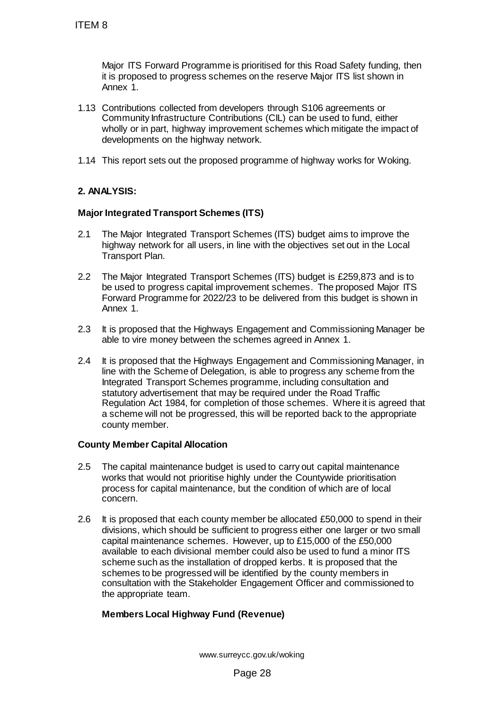Major ITS Forward Programme is prioritised for this Road Safety funding, then it is proposed to progress schemes on the reserve Major ITS list shown in Annex 1.

- 1.13 Contributions collected from developers through S106 agreements or Community Infrastructure Contributions (CIL) can be used to fund, either wholly or in part, highway improvement schemes which mitigate the impact of developments on the highway network.
- 1.14 This report sets out the proposed programme of highway works for Woking.

## **2. ANALYSIS:**

## **Major Integrated Transport Schemes (ITS)**

- 2.1 The Major Integrated Transport Schemes (ITS) budget aims to improve the highway network for all users, in line with the objectives set out in the Local Transport Plan.
- 2.2 The Major Integrated Transport Schemes (ITS) budget is £259,873 and is to be used to progress capital improvement schemes. The proposed Major ITS Forward Programme for 2022/23 to be delivered from this budget is shown in Annex 1.
- 2.3 It is proposed that the Highways Engagement and Commissioning Manager be able to vire money between the schemes agreed in Annex 1.
- 2.4 It is proposed that the Highways Engagement and Commissioning Manager, in line with the Scheme of Delegation, is able to progress any scheme from the Integrated Transport Schemes programme, including consultation and statutory advertisement that may be required under the Road Traffic Regulation Act 1984, for completion of those schemes. Where it is agreed that a scheme will not be progressed, this will be reported back to the appropriate county member.

## **County Member Capital Allocation**

- 2.5 The capital maintenance budget is used to carry out capital maintenance works that would not prioritise highly under the Countywide prioritisation process for capital maintenance, but the condition of which are of local concern.
- 2.6 It is proposed that each county member be allocated £50,000 to spend in their divisions, which should be sufficient to progress either one larger or two small capital maintenance schemes. However, up to £15,000 of the £50,000 available to each divisional member could also be used to fund a minor ITS scheme such as the installation of dropped kerbs. It is proposed that the schemes to be progressed will be identified by the county members in consultation with the Stakeholder Engagement Officer and commissioned to the appropriate team. ITEM 8<br>
Major ITS Forward Programme is prioritis<br>
it is proposed to progress schemes on the<br>
Annex 1.<br>
1.13 Contributions collected from developers till<br>
Community Infrastructure Contributions (the welfolm of the welfolm<br>

# **Members Local Highway Fund (Revenue)**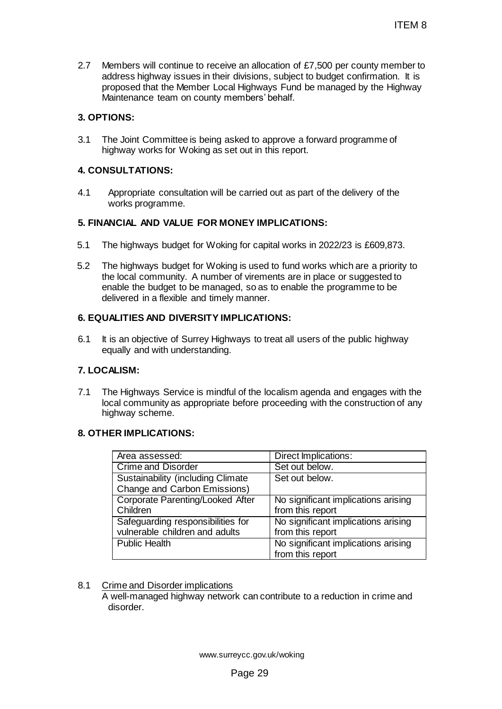2.7 Members will continue to receive an allocation of £7,500 per county member to address highway issues in their divisions, subject to budget confirmation. It is proposed that the Member Local Highways Fund be managed by the Highway Maintenance team on county members' behalf.

# **3. OPTIONS:**

3.1 The Joint Committee is being asked to approve a forward programme of highway works for Woking as set out in this report.

# **4. CONSULTATIONS:**

4.1 Appropriate consultation will be carried out as part of the delivery of the works programme.

# **5. FINANCIAL AND VALUE FOR MONEY IMPLICATIONS:**

- 5.1 The highways budget for Woking for capital works in 2022/23 is £609,873.
- 5.2 The highways budget for Woking is used to fund works which are a priority to the local community. A number of virements are in place or suggested to enable the budget to be managed, so as to enable the programme to be delivered in a flexible and timely manner.

# **6. EQUALITIES AND DIVERSITY IMPLICATIONS:**

6.1 It is an objective of Surrey Highways to treat all users of the public highway equally and with understanding.

# **7. LOCALISM:**

7.1 The Highways Service is mindful of the localism agenda and engages with the local community as appropriate before proceeding with the construction of any highway scheme.

# **8. OTHER IMPLICATIONS:**

|                                                                                                                                                                                                                                                                                       | <b>ITEM8</b>                                            |  |  |  |
|---------------------------------------------------------------------------------------------------------------------------------------------------------------------------------------------------------------------------------------------------------------------------------------|---------------------------------------------------------|--|--|--|
| embers will continue to receive an allocation of £7,500 per county member to<br>ldress highway issues in their divisions, subject to budget confirmation. It is<br>oposed that the Member Local Highways Fund be managed by the Highway<br>aintenance team on county members' behalf. |                                                         |  |  |  |
| ONS:                                                                                                                                                                                                                                                                                  |                                                         |  |  |  |
| e Joint Committee is being asked to approve a forward programme of<br>ghway works for Woking as set out in this report.                                                                                                                                                               |                                                         |  |  |  |
| <b>SULTATIONS:</b>                                                                                                                                                                                                                                                                    |                                                         |  |  |  |
| Appropriate consultation will be carried out as part of the delivery of the<br>vorks programme.                                                                                                                                                                                       |                                                         |  |  |  |
| NCIAL AND VALUE FOR MONEY IMPLICATIONS:                                                                                                                                                                                                                                               |                                                         |  |  |  |
| e highways budget for Woking for capital works in 2022/23 is £609,873.                                                                                                                                                                                                                |                                                         |  |  |  |
| e highways budget for Woking is used to fund works which are a priority to<br>e local community. A number of virements are in place or suggested to<br>able the budget to be managed, so as to enable the programme to be<br>livered in a flexible and timely manner.                 |                                                         |  |  |  |
| <b>ALITIES AND DIVERSITY IMPLICATIONS:</b>                                                                                                                                                                                                                                            |                                                         |  |  |  |
| is an objective of Surrey Highways to treat all users of the public highway<br>jually and with understanding.                                                                                                                                                                         |                                                         |  |  |  |
| <b>ALISM:</b>                                                                                                                                                                                                                                                                         |                                                         |  |  |  |
| e Highways Service is mindful of the localism agenda and engages with the<br>cal community as appropriate before proceeding with the construction of any<br>ghway scheme.                                                                                                             |                                                         |  |  |  |
| <b>ER IMPLICATIONS:</b>                                                                                                                                                                                                                                                               |                                                         |  |  |  |
| Area assessed:                                                                                                                                                                                                                                                                        | Direct Implications:                                    |  |  |  |
| <b>Crime and Disorder</b>                                                                                                                                                                                                                                                             | Set out below.                                          |  |  |  |
| <b>Sustainability (including Climate</b><br>Change and Carbon Emissions)                                                                                                                                                                                                              | Set out below.                                          |  |  |  |
| <b>Corporate Parenting/Looked After</b>                                                                                                                                                                                                                                               | No significant implications arising                     |  |  |  |
| Children                                                                                                                                                                                                                                                                              | from this report                                        |  |  |  |
| Safeguarding responsibilities for                                                                                                                                                                                                                                                     | No significant implications arising                     |  |  |  |
| vulnerable children and adults                                                                                                                                                                                                                                                        | from this report                                        |  |  |  |
| <b>Public Health</b>                                                                                                                                                                                                                                                                  | No significant implications arising<br>from this report |  |  |  |
|                                                                                                                                                                                                                                                                                       |                                                         |  |  |  |
|                                                                                                                                                                                                                                                                                       |                                                         |  |  |  |
| ime and Disorder implications                                                                                                                                                                                                                                                         |                                                         |  |  |  |
| well-managed highway network can contribute to a reduction in crime and<br>disorder.                                                                                                                                                                                                  |                                                         |  |  |  |
|                                                                                                                                                                                                                                                                                       |                                                         |  |  |  |
|                                                                                                                                                                                                                                                                                       |                                                         |  |  |  |
|                                                                                                                                                                                                                                                                                       |                                                         |  |  |  |
| www.surreycc.gov.uk/woking                                                                                                                                                                                                                                                            |                                                         |  |  |  |
| Page 29                                                                                                                                                                                                                                                                               |                                                         |  |  |  |

# 8.1 Crime and Disorder implications